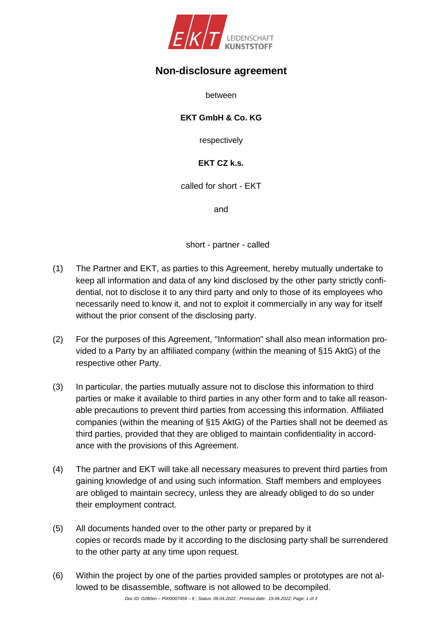

## **Non-disclosure agreement**

between

## **EKT GmbH & Co. KG**

respectively

## **EKT CZ k.s.**

called for short - EKT

and

short - partner - called

- (1) The Partner and EKT, as parties to this Agreement, hereby mutually undertake to keep all information and data of any kind disclosed by the other party strictly confidential, not to disclose it to any third party and only to those of its employees who necessarily need to know it, and not to exploit it commercially in any way for itself without the prior consent of the disclosing party.
- (2) For the purposes of this Agreement, "Information" shall also mean information provided to a Party by an affiliated company (within the meaning of §15 AktG) of the respective other Party.
- (3) In particular, the parties mutually assure not to disclose this information to third parties or make it available to third parties in any other form and to take all reasonable precautions to prevent third parties from accessing this information. Affiliated companies (within the meaning of §15 AktG) of the Parties shall not be deemed as third parties, provided that they are obliged to maintain confidentiality in accordance with the provisions of this Agreement.
- (4) The partner and EKT will take all necessary measures to prevent third parties from gaining knowledge of and using such information. Staff members and employees are obliged to maintain secrecy, unless they are already obliged to do so under their employment contract.
- (5) All documents handed over to the other party or prepared by it copies or records made by it according to the disclosing party shall be surrendered to the other party at any time upon request.
- (6) Within the project by one of the parties provided samples or prototypes are not allowed to be disassemble, software is not allowed to be decompiled.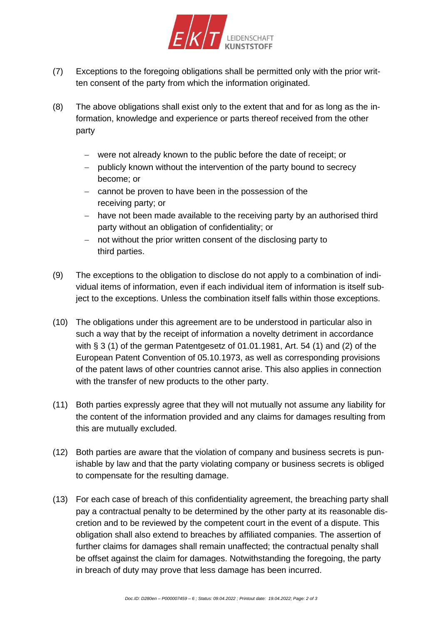

- (7) Exceptions to the foregoing obligations shall be permitted only with the prior written consent of the party from which the information originated.
- (8) The above obligations shall exist only to the extent that and for as long as the information, knowledge and experience or parts thereof received from the other party
	- − were not already known to the public before the date of receipt; or
	- − publicly known without the intervention of the party bound to secrecy become; or
	- − cannot be proven to have been in the possession of the receiving party; or
	- − have not been made available to the receiving party by an authorised third party without an obligation of confidentiality; or
	- − not without the prior written consent of the disclosing party to third parties.
- (9) The exceptions to the obligation to disclose do not apply to a combination of individual items of information, even if each individual item of information is itself subject to the exceptions. Unless the combination itself falls within those exceptions.
- (10) The obligations under this agreement are to be understood in particular also in such a way that by the receipt of information a novelty detriment in accordance with § 3 (1) of the german Patentgesetz of 01.01.1981, Art. 54 (1) and (2) of the European Patent Convention of 05.10.1973, as well as corresponding provisions of the patent laws of other countries cannot arise. This also applies in connection with the transfer of new products to the other party.
- (11) Both parties expressly agree that they will not mutually not assume any liability for the content of the information provided and any claims for damages resulting from this are mutually excluded.
- (12) Both parties are aware that the violation of company and business secrets is punishable by law and that the party violating company or business secrets is obliged to compensate for the resulting damage.
- (13) For each case of breach of this confidentiality agreement, the breaching party shall pay a contractual penalty to be determined by the other party at its reasonable discretion and to be reviewed by the competent court in the event of a dispute. This obligation shall also extend to breaches by affiliated companies. The assertion of further claims for damages shall remain unaffected; the contractual penalty shall be offset against the claim for damages. Notwithstanding the foregoing, the party in breach of duty may prove that less damage has been incurred.